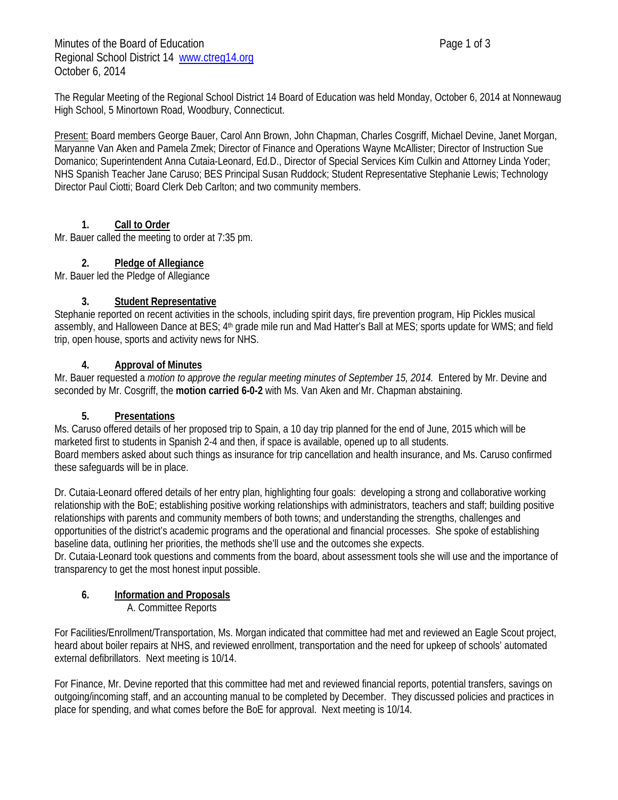Minutes of the Board of Education **Page 1 of 3** Regional School District 14 www.ctreg14.org October 6, 2014

The Regular Meeting of the Regional School District 14 Board of Education was held Monday, October 6, 2014 at Nonnewaug High School, 5 Minortown Road, Woodbury, Connecticut.

Present: Board members George Bauer, Carol Ann Brown, John Chapman, Charles Cosgriff, Michael Devine, Janet Morgan, Maryanne Van Aken and Pamela Zmek; Director of Finance and Operations Wayne McAllister; Director of Instruction Sue Domanico; Superintendent Anna Cutaia-Leonard, Ed.D., Director of Special Services Kim Culkin and Attorney Linda Yoder; NHS Spanish Teacher Jane Caruso; BES Principal Susan Ruddock; Student Representative Stephanie Lewis; Technology Director Paul Ciotti; Board Clerk Deb Carlton; and two community members.

## **1. Call to Order**

Mr. Bauer called the meeting to order at 7:35 pm.

## **2. Pledge of Allegiance**

Mr. Bauer led the Pledge of Allegiance

### **3. Student Representative**

Stephanie reported on recent activities in the schools, including spirit days, fire prevention program, Hip Pickles musical assembly, and Halloween Dance at BES; 4th grade mile run and Mad Hatter's Ball at MES; sports update for WMS; and field trip, open house, sports and activity news for NHS.

### **4. Approval of Minutes**

Mr. Bauer requested a *motion to approve the regular meeting minutes of September 15, 2014.* Entered by Mr. Devine and seconded by Mr. Cosgriff, the **motion carried 6-0-2** with Ms. Van Aken and Mr. Chapman abstaining.

### **5. Presentations**

Ms. Caruso offered details of her proposed trip to Spain, a 10 day trip planned for the end of June, 2015 which will be marketed first to students in Spanish 2-4 and then, if space is available, opened up to all students. Board members asked about such things as insurance for trip cancellation and health insurance, and Ms. Caruso confirmed these safeguards will be in place.

Dr. Cutaia-Leonard offered details of her entry plan, highlighting four goals: developing a strong and collaborative working relationship with the BoE; establishing positive working relationships with administrators, teachers and staff; building positive relationships with parents and community members of both towns; and understanding the strengths, challenges and opportunities of the district's academic programs and the operational and financial processes. She spoke of establishing baseline data, outlining her priorities, the methods she'll use and the outcomes she expects.

Dr. Cutaia-Leonard took questions and comments from the board, about assessment tools she will use and the importance of transparency to get the most honest input possible.

### **6. Information and Proposals**

A. Committee Reports

For Facilities/Enrollment/Transportation, Ms. Morgan indicated that committee had met and reviewed an Eagle Scout project, heard about boiler repairs at NHS, and reviewed enrollment, transportation and the need for upkeep of schools' automated external defibrillators. Next meeting is 10/14.

For Finance, Mr. Devine reported that this committee had met and reviewed financial reports, potential transfers, savings on outgoing/incoming staff, and an accounting manual to be completed by December. They discussed policies and practices in place for spending, and what comes before the BoE for approval. Next meeting is 10/14.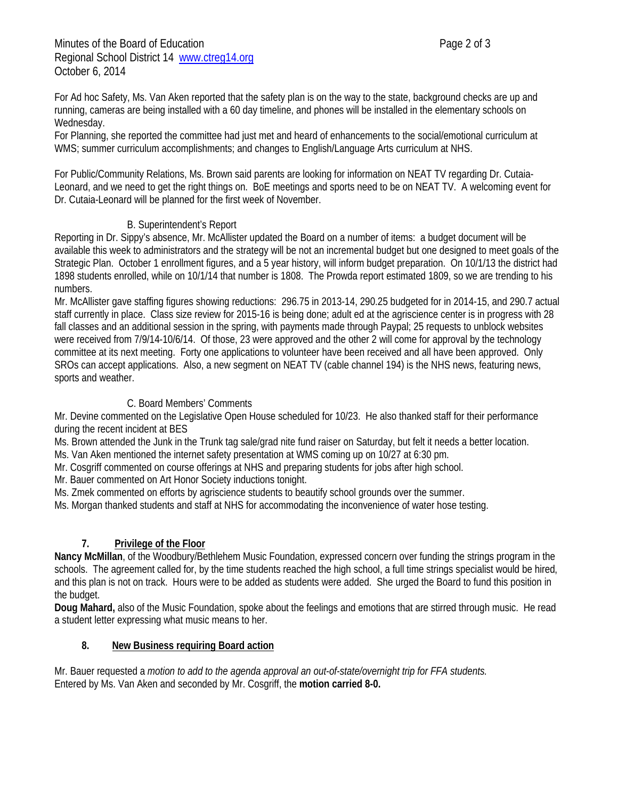For Ad hoc Safety, Ms. Van Aken reported that the safety plan is on the way to the state, background checks are up and running, cameras are being installed with a 60 day timeline, and phones will be installed in the elementary schools on Wednesday.

For Planning, she reported the committee had just met and heard of enhancements to the social/emotional curriculum at WMS; summer curriculum accomplishments; and changes to English/Language Arts curriculum at NHS.

For Public/Community Relations, Ms. Brown said parents are looking for information on NEAT TV regarding Dr. Cutaia-Leonard, and we need to get the right things on. BoE meetings and sports need to be on NEAT TV. A welcoming event for Dr. Cutaia-Leonard will be planned for the first week of November.

### B. Superintendent's Report

Reporting in Dr. Sippy's absence, Mr. McAllister updated the Board on a number of items: a budget document will be available this week to administrators and the strategy will be not an incremental budget but one designed to meet goals of the Strategic Plan. October 1 enrollment figures, and a 5 year history, will inform budget preparation. On 10/1/13 the district had 1898 students enrolled, while on 10/1/14 that number is 1808. The Prowda report estimated 1809, so we are trending to his numbers.

Mr. McAllister gave staffing figures showing reductions: 296.75 in 2013-14, 290.25 budgeted for in 2014-15, and 290.7 actual staff currently in place. Class size review for 2015-16 is being done; adult ed at the agriscience center is in progress with 28 fall classes and an additional session in the spring, with payments made through Paypal; 25 requests to unblock websites were received from 7/9/14-10/6/14. Of those, 23 were approved and the other 2 will come for approval by the technology committee at its next meeting. Forty one applications to volunteer have been received and all have been approved. Only SROs can accept applications. Also, a new segment on NEAT TV (cable channel 194) is the NHS news, featuring news, sports and weather.

#### C. Board Members' Comments

Mr. Devine commented on the Legislative Open House scheduled for 10/23. He also thanked staff for their performance during the recent incident at BES

Ms. Brown attended the Junk in the Trunk tag sale/grad nite fund raiser on Saturday, but felt it needs a better location.

Ms. Van Aken mentioned the internet safety presentation at WMS coming up on 10/27 at 6:30 pm.

Mr. Cosgriff commented on course offerings at NHS and preparing students for jobs after high school.

Mr. Bauer commented on Art Honor Society inductions tonight.

Ms. Zmek commented on efforts by agriscience students to beautify school grounds over the summer.

Ms. Morgan thanked students and staff at NHS for accommodating the inconvenience of water hose testing.

### **7. Privilege of the Floor**

**Nancy McMillan**, of the Woodbury/Bethlehem Music Foundation, expressed concern over funding the strings program in the schools. The agreement called for, by the time students reached the high school, a full time strings specialist would be hired, and this plan is not on track. Hours were to be added as students were added. She urged the Board to fund this position in the budget.

**Doug Mahard,** also of the Music Foundation, spoke about the feelings and emotions that are stirred through music. He read a student letter expressing what music means to her.

#### **8. New Business requiring Board action**

Mr. Bauer requested a *motion to add to the agenda approval an out-of-state/overnight trip for FFA students.*  Entered by Ms. Van Aken and seconded by Mr. Cosgriff, the **motion carried 8-0.**